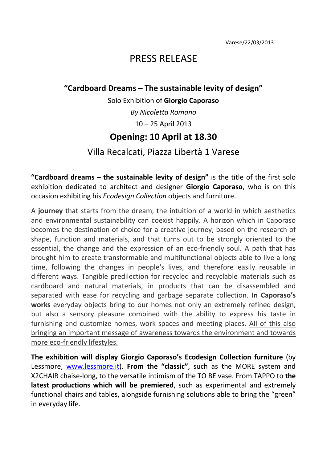## PRESS RELEASE

## **"Cardboard Dreams – The sustainable levity of design"**

Solo Exhibition of **Giorgio Caporaso** *By Nicoletta Romano* 10 – 25 April 2013

## **Opening: 10 April at 18.30**

## Villa Recalcati, Piazza Libertà 1 Varese

**"Cardboard dreams – the sustainable levity of design"** is the title of the first solo exhibition dedicated to architect and designer **Giorgio Caporaso**, who is on this occasion exhibiting his *Ecodesign Collection* objects and furniture.

A **journey** that starts from the dream, the intuition of a world in which aesthetics and environmental sustainability can coexist happily. A horizon which in Caporaso becomes the destination of choice for a creative journey, based on the research of shape, function and materials, and that turns out to be strongly oriented to the essential, the change and the expression of an eco-friendly soul. A path that has brought him to create transformable and multifunctional objects able to live a long time, following the changes in people's lives, and therefore easily reusable in different ways. Tangible predilection for recycled and recyclable materials such as cardboard and natural materials, in products that can be disassembled and separated with ease for recycling and garbage separate collection. **In Caporaso's works** everyday objects bring to our homes not only an extremely refined design, but also a sensory pleasure combined with the ability to express his taste in furnishing and customize homes, work spaces and meeting places. All of this also bringing an important message of awareness towards the environment and towards more eco-friendly lifestyles.

**The exhibition will display Giorgio Caporaso's Ecodesign Collection furniture** (by Lessmore, [www.lessmore.it\)](http://www.lessmore.it/). **From the "classic"**, such as the MORE system and X2CHAIR chaise-long, to the versatile intimism of the TO BE vase. From TAPPO to **the latest productions which will be premiered**, such as experimental and extremely functional chairs and tables, alongside furnishing solutions able to bring the "green" in everyday life.